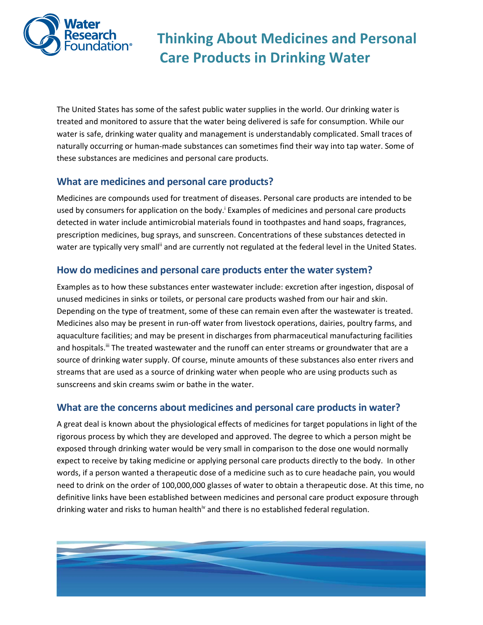

 **Thinking About Medicines and Personal Care Products in Drinking Water** 

The United States has some of the safest public water supplies in the world. Our drinking water is treated and monitored to assure that the water being delivered is safe for consumption. While our water is safe, drinking water quality and management is understandably complicated. Small traces of naturally occurring or human‐made substances can sometimes find their way into tap water. Some of these substances are medicines and personal care products.

### **What are medicines and personal care products?**

Medicines are compounds used for treatment of diseases. Personal care products are intended to be used by consumers for application on the body.<sup>i</sup> Examples of medicines and personal care products detected in water include antimicrobial materials found in toothpastes and hand soaps, fragrances, prescription medicines, bug sprays, and sunscreen. Concentrations of these substances detected in water are typically very small<sup>ii</sup> and are currently not regulated at the federal level in the United States.

### **How do medicines and personal care products enter the water system?**

Examples as to how these substances enter wastewater include: excretion after ingestion, disposal of unused medicines in sinks or toilets, or personal care products washed from our hair and skin. Depending on the type of treatment, some of these can remain even after the wastewater is treated. Medicines also may be present in run‐off water from livestock operations, dairies, poultry farms, and aquaculture facilities; and may be present in discharges from pharmaceutical manufacturing facilities and hospitals.<sup>iii</sup> The treated wastewater and the runoff can enter streams or groundwater that are a source of drinking water supply. Of course, minute amounts of these substances also enter rivers and streams that are used as a source of drinking water when people who are using products such as sunscreens and skin creams swim or bathe in the water.

### **What are the concerns about medicines and personal care products in water?**

A great deal is known about the physiological effects of medicines for target populations in light of the rigorous process by which they are developed and approved. The degree to which a person might be exposed through drinking water would be very small in comparison to the dose one would normally expect to receive by taking medicine or applying personal care products directly to the body. In other words, if a person wanted a therapeutic dose of a medicine such as to cure headache pain, you would need to drink on the order of 100,000,000 glasses of water to obtain a therapeutic dose. At this time, no definitive links have been established between medicines and personal care product exposure through drinking water and risks to human health<sup>iv</sup> and there is no established federal regulation.